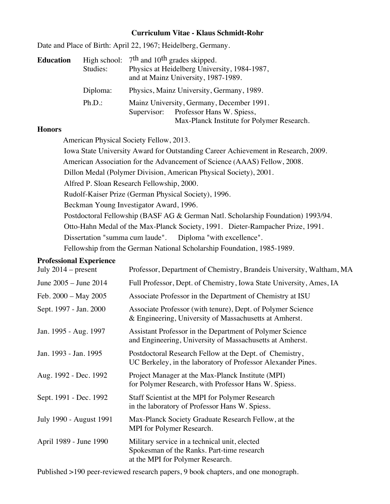#### **Curriculum Vitae - Klaus Schmidt-Rohr**

Date and Place of Birth: April 22, 1967; Heidelberg, Germany.

| <b>Education</b> | Studies:  |                                           | High school: $7th$ and 10 <sup>th</sup> grades skipped.<br>Physics at Heidelberg University, 1984-1987,<br>and at Mainz University, 1987-1989. |
|------------------|-----------|-------------------------------------------|------------------------------------------------------------------------------------------------------------------------------------------------|
|                  | Diploma:  | Physics, Mainz University, Germany, 1989. |                                                                                                                                                |
|                  | $Ph.D.$ : | Mainz University, Germany, December 1991. |                                                                                                                                                |
|                  |           |                                           | Supervisor: Professor Hans W. Spiess,                                                                                                          |
|                  |           |                                           | Max-Planck Institute for Polymer Research.                                                                                                     |

#### **Honors**

American Physical Society Fellow, 2013.

Iowa State University Award for Outstanding Career Achievement in Research, 2009.

American Association for the Advancement of Science (AAAS) Fellow, 2008.

Dillon Medal (Polymer Division, American Physical Society), 2001.

Alfred P. Sloan Research Fellowship, 2000.

Rudolf-Kaiser Prize (German Physical Society), 1996.

Beckman Young Investigator Award, 1996.

Postdoctoral Fellowship (BASF AG & German Natl. Scholarship Foundation) 1993/94.

Otto-Hahn Medal of the Max-Planck Society, 1991. Dieter-Rampacher Prize, 1991.

Dissertation "summa cum laude". Diploma "with excellence".

Fellowship from the German National Scholarship Foundation, 1985-1989.

#### **Professional Experience**

| July $2014$ – present   | Professor, Department of Chemistry, Brandeis University, Waltham, MA                                                            |
|-------------------------|---------------------------------------------------------------------------------------------------------------------------------|
| June 2005 – June 2014   | Full Professor, Dept. of Chemistry, Iowa State University, Ames, IA                                                             |
| Feb. 2000 - May 2005    | Associate Professor in the Department of Chemistry at ISU                                                                       |
| Sept. 1997 - Jan. 2000  | Associate Professor (with tenure), Dept. of Polymer Science<br>& Engineering, University of Massachusetts at Amherst.           |
| Jan. 1995 - Aug. 1997   | Assistant Professor in the Department of Polymer Science<br>and Engineering, University of Massachusetts at Amherst.            |
| Jan. 1993 - Jan. 1995   | Postdoctoral Research Fellow at the Dept. of Chemistry,<br>UC Berkeley, in the laboratory of Professor Alexander Pines.         |
| Aug. 1992 - Dec. 1992   | Project Manager at the Max-Planck Institute (MPI)<br>for Polymer Research, with Professor Hans W. Spiess.                       |
| Sept. 1991 - Dec. 1992  | Staff Scientist at the MPI for Polymer Research<br>in the laboratory of Professor Hans W. Spiess.                               |
| July 1990 - August 1991 | Max-Planck Society Graduate Research Fellow, at the<br>MPI for Polymer Research.                                                |
| April 1989 - June 1990  | Military service in a technical unit, elected<br>Spokesman of the Ranks. Part-time research<br>at the MPI for Polymer Research. |

Published >190 peer-reviewed research papers, 9 book chapters, and one monograph.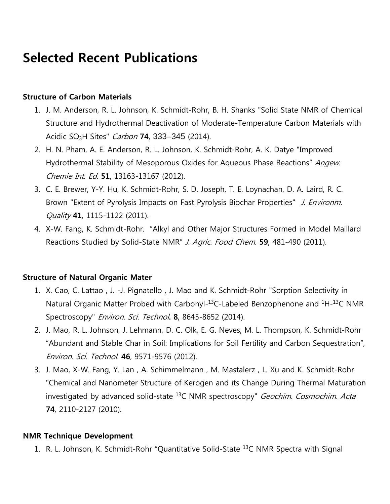# **Selected Recent Publications**

## **Structure of Carbon Materials**

- 1. J. M. Anderson, R. L. Johnson, K. Schmidt-Rohr, B. H. Shanks "Solid State NMR of Chemical Structure and Hydrothermal Deactivation of Moderate-Temperature Carbon Materials with Acidic SO3H Sites" Carbon **74**, 333–345 (2014).
- 2. H. N. Pham, A. E. Anderson, R. L. Johnson, K. Schmidt-Rohr, A. K. Datye "Improved Hydrothermal Stability of Mesoporous Oxides for Aqueous Phase Reactions" Angew. Chemie Int. Ed. **51**, 13163-13167 (2012).
- 3. C. E. Brewer, Y-Y. Hu, K. Schmidt-Rohr, S. D. Joseph, T. E. Loynachan, D. A. Laird, R. C. Brown "Extent of Pyrolysis Impacts on Fast Pyrolysis Biochar Properties" J. Environm. Quality **41**, 1115-1122 (2011).
- 4. X-W. Fang, K. Schmidt-Rohr. "Alkyl and Other Major Structures Formed in Model Maillard Reactions Studied by Solid-State NMR" J. Agric. Food Chem. **59**, 481-490 (2011).

#### **Structure of Natural Organic Mater**

- 1. X. [Cao,](http://www.ksrlab.org/personnel/x-y-cao/) C. Lattao , J. -J. Pignatello , J. Mao and K. [Schmidt-Rohr](http://www.ksrlab.org/personnel/k-schmidt-rohr/) "Sorption Selectivity in Natural Organic Matter Probed with Carbonyl-13C-Labeled Benzophenone and 1H-13C NMR Spectroscopy" Environ. Sci. Technol**. 8**, 8645-8652 (2014).
- 2. J. Mao, R. L. Johnson, J. Lehmann, D. C. Olk, E. G. Neves, M. L. Thompson, K. Schmidt-Rohr "Abundant and Stable Char in Soil: Implications for Soil Fertility and Carbon Sequestration", Environ. Sci. Technol. **46**, 9571-9576 (2012).
- 3. J. Mao, X-W. Fang, Y. Lan , A. Schimmelmann , M. Mastalerz , L. Xu and K. [Schmidt-Rohr](http://www.ksrlab.org/personnel/k-schmidt-rohr/) "Chemical and Nanometer Structure of Kerogen and its Change During Thermal Maturation investigated by advanced solid-state <sup>13</sup>C NMR spectroscopy" Geochim. Cosmochim. Acta **74**, 2110-2127 (2010).

#### **NMR Technique Development**

1. R. L. Johnson, K. Schmidt-Rohr "Quantitative Solid-State 13C NMR Spectra with Signal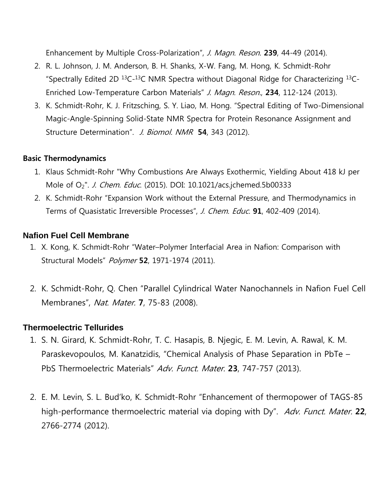Enhancement by Multiple Cross-Polarization", J. Magn. Reson. **239**, 44-49 (2014).

- 2. R. L. Johnson, J. M. Anderson, B. H. Shanks, X-W. Fang, M. Hong, K. Schmidt-Rohr "Spectrally Edited 2D  $^{13}C^{-13}C$  NMR Spectra without Diagonal Ridge for Characterizing  $^{13}C$ -Enriched Low-Temperature Carbon Materials" J. Magn. Reson., **234**, 112-124 (2013).
- 3. K. Schmidt-Rohr, K. J. Fritzsching, S. Y. Liao, M. Hong. "Spectral Editing of Two-Dimensional Magic-Angle-Spinning Solid-State NMR Spectra for Protein Resonance Assignment and Structure Determination". J. Biomol. NMR **54**, 343 (2012).

## **Basic Thermodynamics**

- 1. [Klaus Schmidt-Rohr](http://ksrweb.herokuapp.com/personnel/k-schmidt-rohr/) "Why Combustions Are Always Exothermic, Yielding About 418 kJ per Mole of  $O_2$ ". *J. Chem. Educ.* (2015). DOI: 10.1021/acs.jchemed.5b00333
- 2. K. Schmidt-Rohr "Expansion Work without the External Pressure, and Thermodynamics in Terms of Quasistatic Irreversible Processes", J. Chem. Educ. **91**, 402-409 (2014).

## **Nafion Fuel Cell Membrane**

- 1. X. Kong, K. Schmidt-Rohr "Water–Polymer Interfacial Area in Nafion: Comparison with Structural Models" Polymer **52**, 1971-1974 (2011).
- 2. K. Schmidt-Rohr, Q. Chen "Parallel Cylindrical Water Nanochannels in Nafion Fuel Cell Membranes", Nat. Mater. **7**, 75-83 (2008).

# **Thermoelectric Tellurides**

- 1. S. N. Girard, K. Schmidt-Rohr, T. C. Hasapis, B. Njegic, E. M. Levin, A. Rawal, K. M. Paraskevopoulos, M. Kanatzidis, "Chemical Analysis of Phase Separation in PbTe – PbS Thermoelectric Materials" Adv. Funct. Mater. **23**, 747-757 (2013).
- 2. E. M. Levin, S. L. Bud'ko, K. Schmidt-Rohr "Enhancement of thermopower of TAGS-85 high-performance thermoelectric material via doping with Dy". Adv. Funct. Mater. **22**, 2766-2774 (2012).